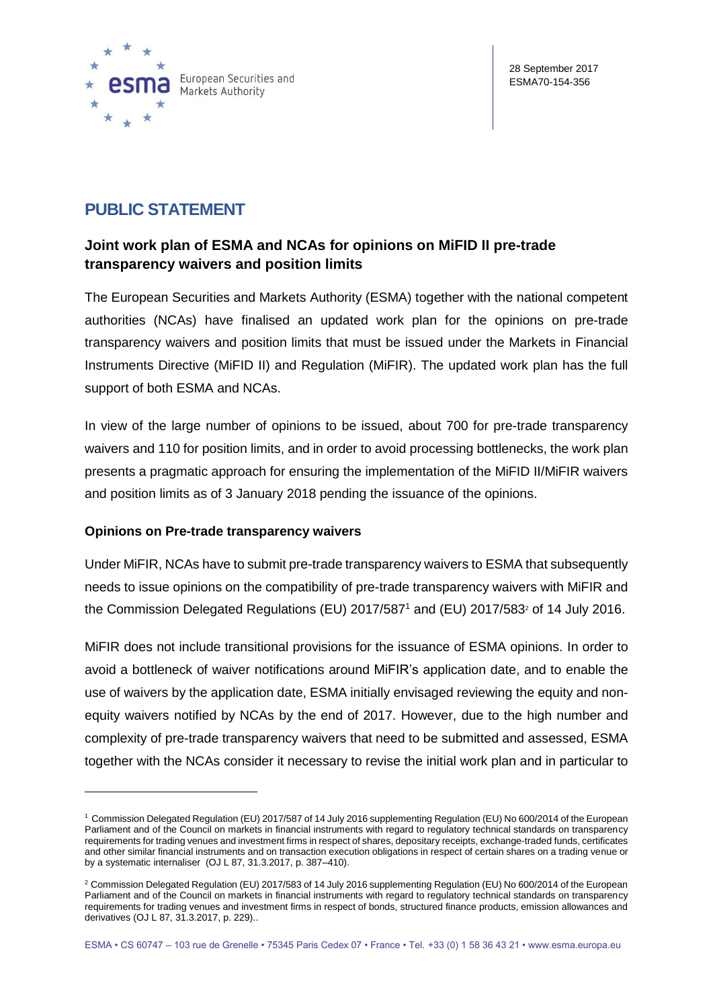

# **PUBLIC STATEMENT**

# **Joint work plan of ESMA and NCAs for opinions on MiFID II pre-trade transparency waivers and position limits**

The European Securities and Markets Authority (ESMA) together with the national competent authorities (NCAs) have finalised an updated work plan for the opinions on pre-trade transparency waivers and position limits that must be issued under the Markets in Financial Instruments Directive (MiFID II) and Regulation (MiFIR). The updated work plan has the full support of both ESMA and NCAs.

In view of the large number of opinions to be issued, about 700 for pre-trade transparency waivers and 110 for position limits, and in order to avoid processing bottlenecks, the work plan presents a pragmatic approach for ensuring the implementation of the MiFID II/MiFIR waivers and position limits as of 3 January 2018 pending the issuance of the opinions.

# **Opinions on Pre-trade transparency waivers**

1

Under MiFIR, NCAs have to submit pre-trade transparency waivers to ESMA that subsequently needs to issue opinions on the compatibility of pre-trade transparency waivers with MiFIR and the Commission Delegated Regulations (EU) 2017/587<sup>1</sup> and (EU) 2017/583<sup>2</sup> of 14 July 2016.

MiFIR does not include transitional provisions for the issuance of ESMA opinions. In order to avoid a bottleneck of waiver notifications around MiFIR's application date, and to enable the use of waivers by the application date, ESMA initially envisaged reviewing the equity and nonequity waivers notified by NCAs by the end of 2017. However, due to the high number and complexity of pre-trade transparency waivers that need to be submitted and assessed, ESMA together with the NCAs consider it necessary to revise the initial work plan and in particular to

<sup>1</sup> Commission Delegated Regulation (EU) 2017/587 of 14 July 2016 supplementing Regulation (EU) No 600/2014 of the European Parliament and of the Council on markets in financial instruments with regard to regulatory technical standards on transparency requirements for trading venues and investment firms in respect of shares, depositary receipts, exchange-traded funds, certificates and other similar financial instruments and on transaction execution obligations in respect of certain shares on a trading venue or by a systematic internaliser (OJ L 87, 31.3.2017, p. 387–410).

<sup>&</sup>lt;sup>2</sup> Commission Delegated Regulation (EU) 2017/583 of 14 July 2016 supplementing Regulation (EU) No 600/2014 of the European Parliament and of the Council on markets in financial instruments with regard to regulatory technical standards on transparency requirements for trading venues and investment firms in respect of bonds, structured finance products, emission allowances and derivatives (OJ L 87, 31.3.2017, p. 229)..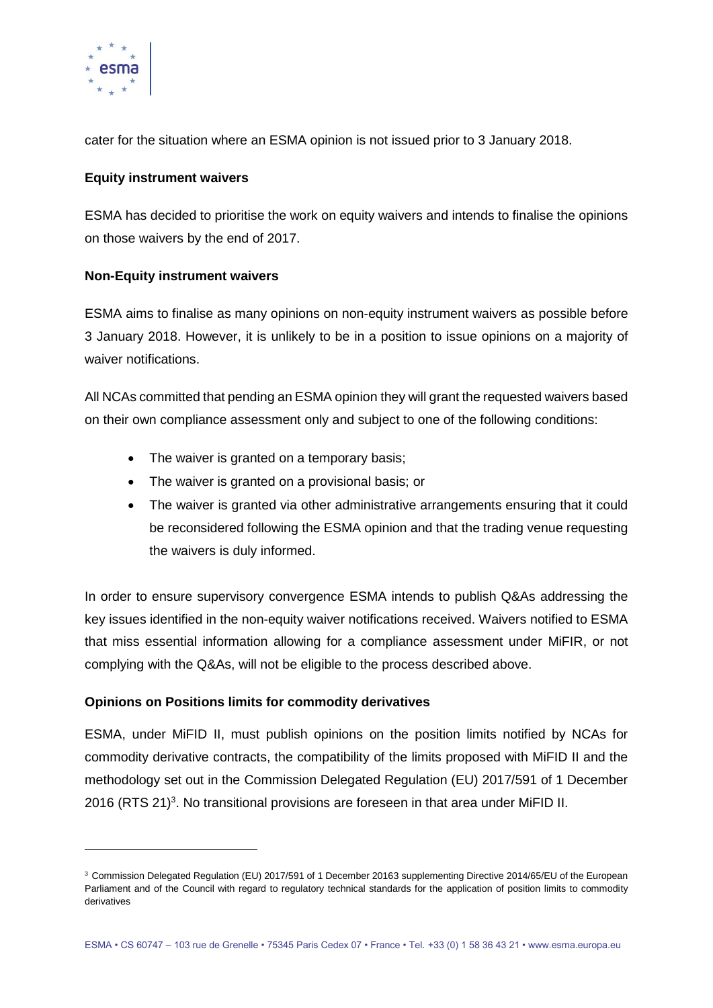

-

cater for the situation where an ESMA opinion is not issued prior to 3 January 2018.

#### **Equity instrument waivers**

ESMA has decided to prioritise the work on equity waivers and intends to finalise the opinions on those waivers by the end of 2017.

#### **Non-Equity instrument waivers**

ESMA aims to finalise as many opinions on non-equity instrument waivers as possible before 3 January 2018. However, it is unlikely to be in a position to issue opinions on a majority of waiver notifications.

All NCAs committed that pending an ESMA opinion they will grant the requested waivers based on their own compliance assessment only and subject to one of the following conditions:

- The waiver is granted on a temporary basis;
- The waiver is granted on a provisional basis; or
- The waiver is granted via other administrative arrangements ensuring that it could be reconsidered following the ESMA opinion and that the trading venue requesting the waivers is duly informed.

In order to ensure supervisory convergence ESMA intends to publish Q&As addressing the key issues identified in the non-equity waiver notifications received. Waivers notified to ESMA that miss essential information allowing for a compliance assessment under MiFIR, or not complying with the Q&As, will not be eligible to the process described above.

# **Opinions on Positions limits for commodity derivatives**

ESMA, under MiFID II, must publish opinions on the position limits notified by NCAs for commodity derivative contracts, the compatibility of the limits proposed with MiFID II and the methodology set out in the Commission Delegated Regulation (EU) 2017/591 of 1 December 2016 (RTS 21)<sup>3</sup>. No transitional provisions are foreseen in that area under MiFID II.

<sup>3</sup> Commission Delegated Regulation (EU) 2017/591 of 1 December 20163 supplementing Directive 2014/65/EU of the European Parliament and of the Council with regard to regulatory technical standards for the application of position limits to commodity derivatives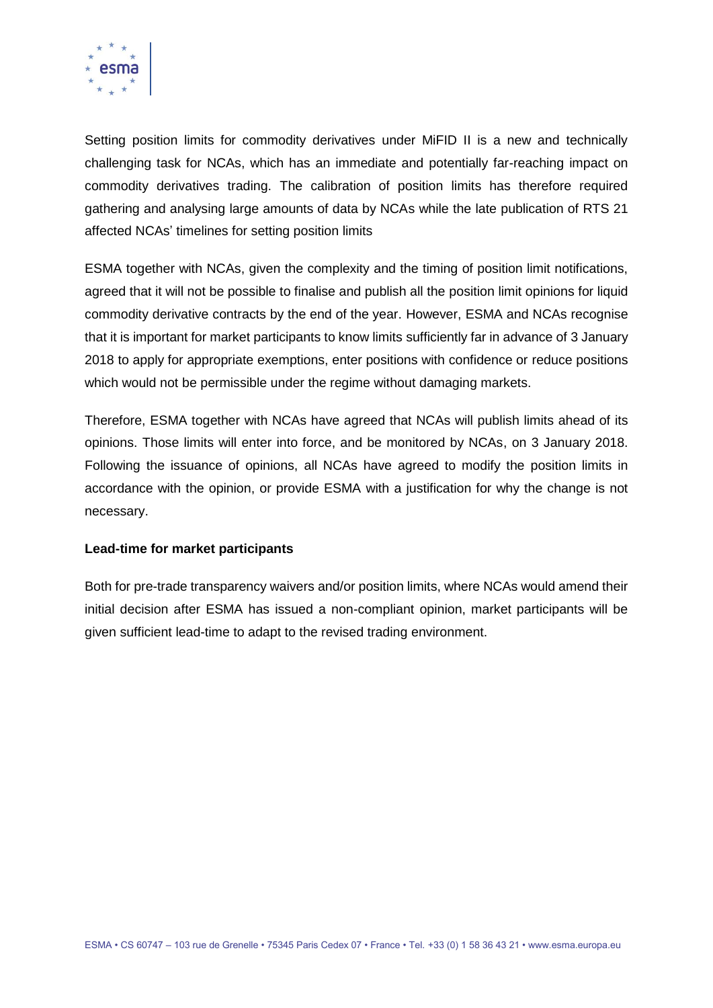

Setting position limits for commodity derivatives under MiFID II is a new and technically challenging task for NCAs, which has an immediate and potentially far-reaching impact on commodity derivatives trading. The calibration of position limits has therefore required gathering and analysing large amounts of data by NCAs while the late publication of RTS 21 affected NCAs' timelines for setting position limits

ESMA together with NCAs, given the complexity and the timing of position limit notifications, agreed that it will not be possible to finalise and publish all the position limit opinions for liquid commodity derivative contracts by the end of the year. However, ESMA and NCAs recognise that it is important for market participants to know limits sufficiently far in advance of 3 January 2018 to apply for appropriate exemptions, enter positions with confidence or reduce positions which would not be permissible under the regime without damaging markets.

Therefore, ESMA together with NCAs have agreed that NCAs will publish limits ahead of its opinions. Those limits will enter into force, and be monitored by NCAs, on 3 January 2018. Following the issuance of opinions, all NCAs have agreed to modify the position limits in accordance with the opinion, or provide ESMA with a justification for why the change is not necessary.

#### **Lead-time for market participants**

Both for pre-trade transparency waivers and/or position limits, where NCAs would amend their initial decision after ESMA has issued a non-compliant opinion, market participants will be given sufficient lead-time to adapt to the revised trading environment.